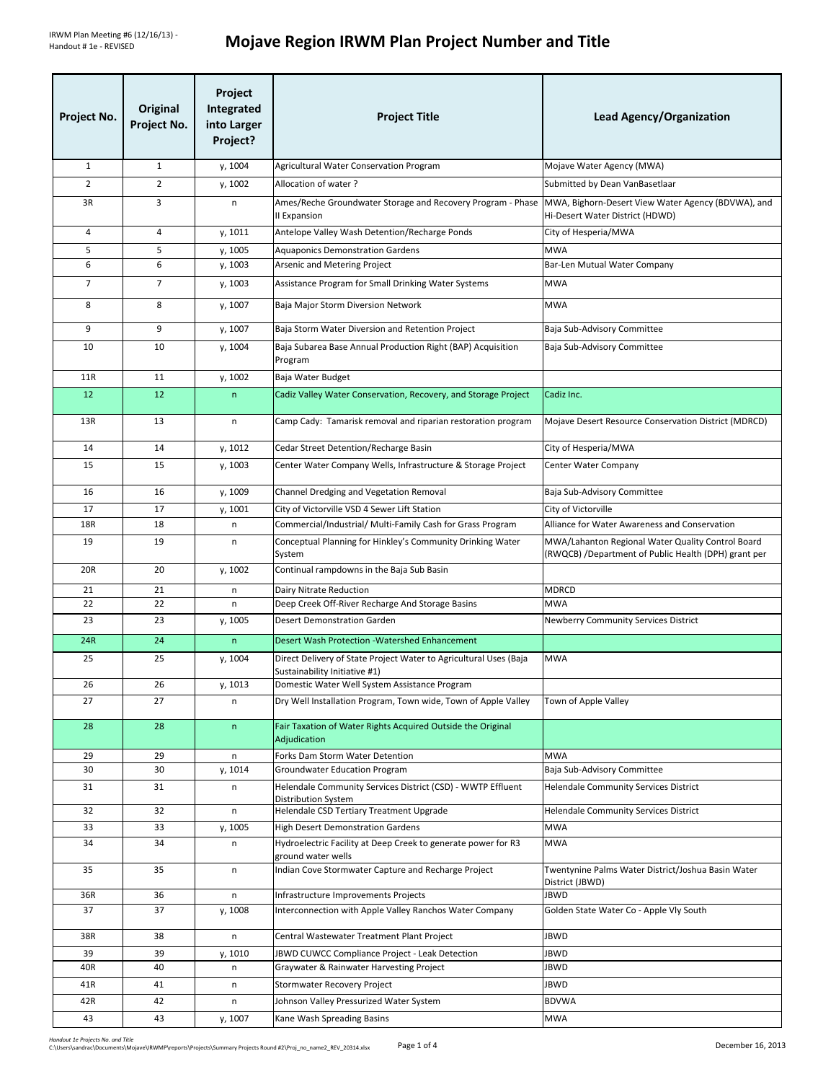| Project No.    | Original<br>Project No. | Project<br>Integrated<br>into Larger<br>Project? | <b>Project Title</b>                                                                               | <b>Lead Agency/Organization</b>                                                                           |
|----------------|-------------------------|--------------------------------------------------|----------------------------------------------------------------------------------------------------|-----------------------------------------------------------------------------------------------------------|
| $\mathbf{1}$   | $\mathbf{1}$            | y, 1004                                          | Agricultural Water Conservation Program                                                            | Mojave Water Agency (MWA)                                                                                 |
| $\overline{2}$ | $\overline{2}$          | y, 1002                                          | Allocation of water?                                                                               | Submitted by Dean VanBasetlaar                                                                            |
| 3R             | 3                       | n                                                | Ames/Reche Groundwater Storage and Recovery Program - Phase<br>II Expansion                        | MWA, Bighorn-Desert View Water Agency (BDVWA), and<br>Hi-Desert Water District (HDWD)                     |
| 4              | 4                       | y, 1011                                          | Antelope Valley Wash Detention/Recharge Ponds                                                      | City of Hesperia/MWA                                                                                      |
| 5              | 5                       | y, 1005                                          | <b>Aquaponics Demonstration Gardens</b>                                                            | <b>MWA</b>                                                                                                |
| 6              | 6                       | y, 1003                                          | Arsenic and Metering Project                                                                       | Bar-Len Mutual Water Company                                                                              |
| $\overline{7}$ | $\overline{7}$          | y, 1003                                          | Assistance Program for Small Drinking Water Systems                                                | <b>MWA</b>                                                                                                |
| 8              | 8                       | y, 1007                                          | Baja Major Storm Diversion Network                                                                 | <b>MWA</b>                                                                                                |
| 9              | 9                       | y, 1007                                          | Baja Storm Water Diversion and Retention Project                                                   | Baja Sub-Advisory Committee                                                                               |
| 10             | 10                      | y, 1004                                          | Baja Subarea Base Annual Production Right (BAP) Acquisition<br>Program                             | Baja Sub-Advisory Committee                                                                               |
| 11R            | 11                      | y, 1002                                          | Baja Water Budget                                                                                  |                                                                                                           |
| 12             | 12                      | n                                                | Cadiz Valley Water Conservation, Recovery, and Storage Project                                     | Cadiz Inc.                                                                                                |
| 13R            | 13                      | n                                                | Camp Cady: Tamarisk removal and riparian restoration program                                       | Mojave Desert Resource Conservation District (MDRCD)                                                      |
| 14             | 14                      | y, 1012                                          | Cedar Street Detention/Recharge Basin                                                              | City of Hesperia/MWA                                                                                      |
| 15             | 15                      | y, 1003                                          | Center Water Company Wells, Infrastructure & Storage Project                                       | Center Water Company                                                                                      |
| 16             | 16                      | y, 1009                                          | Channel Dredging and Vegetation Removal                                                            | Baja Sub-Advisory Committee                                                                               |
| 17             | 17                      | y, 1001                                          | City of Victorville VSD 4 Sewer Lift Station                                                       | City of Victorville                                                                                       |
| 18R            | 18                      | n                                                | Commercial/Industrial/ Multi-Family Cash for Grass Program                                         | Alliance for Water Awareness and Conservation                                                             |
| 19             | 19                      | n                                                | Conceptual Planning for Hinkley's Community Drinking Water<br>System                               | MWA/Lahanton Regional Water Quality Control Board<br>(RWQCB) /Department of Public Health (DPH) grant per |
| 20R            | 20                      | y, 1002                                          | Continual rampdowns in the Baja Sub Basin                                                          |                                                                                                           |
| 21             | 21                      | n                                                | Dairy Nitrate Reduction                                                                            | <b>MDRCD</b>                                                                                              |
| 22             | 22                      | n                                                | Deep Creek Off-River Recharge And Storage Basins                                                   | <b>MWA</b>                                                                                                |
| 23             | 23                      | y, 1005                                          | <b>Desert Demonstration Garden</b>                                                                 | Newberry Community Services District                                                                      |
| 24R            | 24                      | n                                                | Desert Wash Protection - Watershed Enhancement                                                     |                                                                                                           |
| 25             | 25                      | y, 1004                                          | Direct Delivery of State Project Water to Agricultural Uses (Baja<br>Sustainability Initiative #1) | <b>MWA</b>                                                                                                |
| 26             | 26                      | y, 1013                                          | Domestic Water Well System Assistance Program                                                      |                                                                                                           |
| 27             | 27                      | n                                                | Dry Well Installation Program, Town wide, Town of Apple Valley                                     | Town of Apple Valley                                                                                      |
| 28             | 28                      | n                                                | Fair Taxation of Water Rights Acquired Outside the Original<br>Adjudication                        |                                                                                                           |
| 29             | 29                      | n                                                | Forks Dam Storm Water Detention                                                                    | <b>MWA</b>                                                                                                |
| 30<br>31       | 30<br>31                | y, 1014<br>n                                     | Groundwater Education Program<br>Helendale Community Services District (CSD) - WWTP Effluent       | Baja Sub-Advisory Committee<br><b>Helendale Community Services District</b>                               |
| 32             | 32                      | n                                                | Distribution System<br>Helendale CSD Tertiary Treatment Upgrade                                    | <b>Helendale Community Services District</b>                                                              |
| 33             | 33                      | y, 1005                                          | <b>High Desert Demonstration Gardens</b>                                                           | <b>MWA</b>                                                                                                |
| 34             | 34                      | n                                                | Hydroelectric Facility at Deep Creek to generate power for R3<br>ground water wells                | <b>MWA</b>                                                                                                |
| 35             | 35                      | n                                                | Indian Cove Stormwater Capture and Recharge Project                                                | Twentynine Palms Water District/Joshua Basin Water<br>District (JBWD)                                     |
| 36R            | 36                      | n                                                | Infrastructure Improvements Projects                                                               | JBWD                                                                                                      |
| 37             | 37                      | y, 1008                                          | Interconnection with Apple Valley Ranchos Water Company                                            | Golden State Water Co - Apple Vly South                                                                   |
| 38R            | 38                      | n                                                | Central Wastewater Treatment Plant Project                                                         | JBWD                                                                                                      |
| 39             | 39                      | y, 1010                                          | JBWD CUWCC Compliance Project - Leak Detection                                                     | JBWD                                                                                                      |
| 40R            | 40                      | n                                                | Graywater & Rainwater Harvesting Project                                                           | JBWD                                                                                                      |
| 41R            | 41                      | n                                                | Stormwater Recovery Project                                                                        | JBWD                                                                                                      |
| 42R            | 42                      | $\sf n$                                          | Johnson Valley Pressurized Water System                                                            | <b>BDVWA</b>                                                                                              |
| 43             | 43                      | y, 1007                                          | Kane Wash Spreading Basins                                                                         | <b>MWA</b>                                                                                                |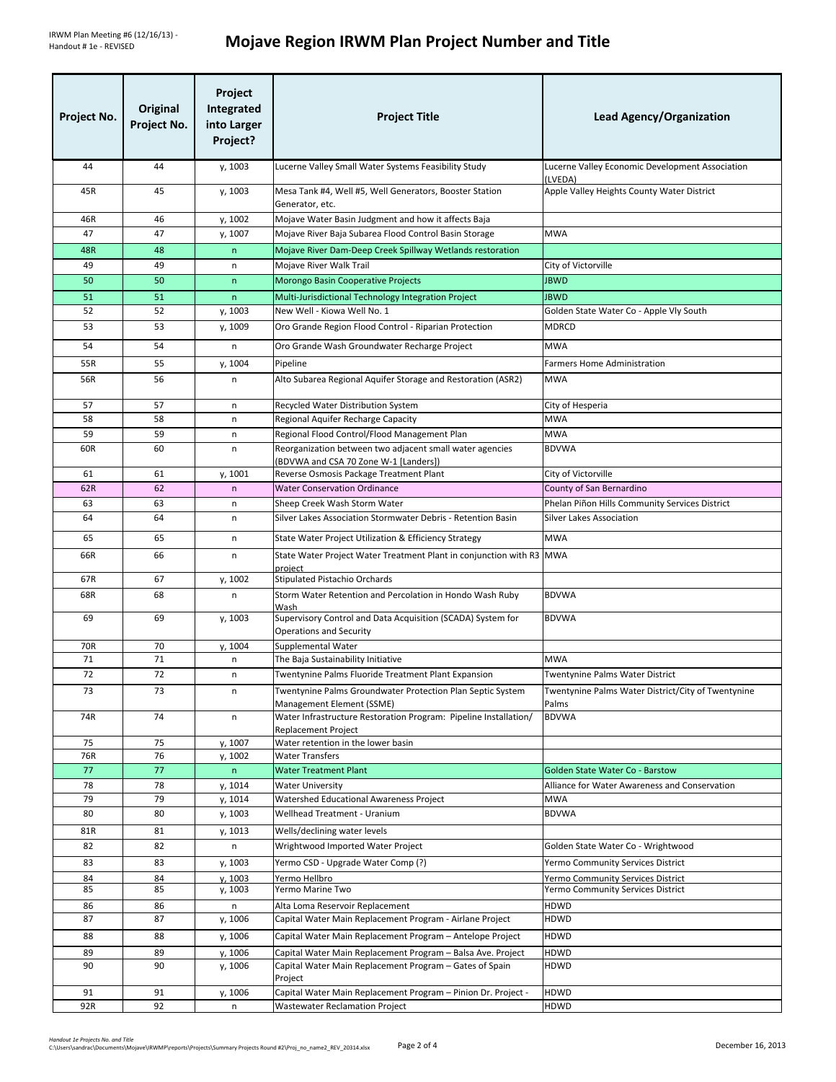| Project No. | Original<br>Project No. | Project<br>Integrated<br>into Larger<br>Project? | <b>Project Title</b>                                                                                              | <b>Lead Agency/Organization</b>                                                       |
|-------------|-------------------------|--------------------------------------------------|-------------------------------------------------------------------------------------------------------------------|---------------------------------------------------------------------------------------|
| 44          | 44                      | y, 1003                                          | Lucerne Valley Small Water Systems Feasibility Study                                                              | Lucerne Valley Economic Development Association<br>(LVEDA)                            |
| 45R         | 45                      | y, 1003                                          | Mesa Tank #4, Well #5, Well Generators, Booster Station<br>Generator, etc.                                        | Apple Valley Heights County Water District                                            |
| 46R         | 46                      | y, 1002                                          | Mojave Water Basin Judgment and how it affects Baja                                                               |                                                                                       |
| 47          | 47                      | y, 1007                                          | Mojave River Baja Subarea Flood Control Basin Storage                                                             | <b>MWA</b>                                                                            |
| 48R         | 48                      | $\mathsf{n}$                                     | Mojave River Dam-Deep Creek Spillway Wetlands restoration                                                         |                                                                                       |
| 49          | 49                      | n                                                | Mojave River Walk Trail                                                                                           | City of Victorville                                                                   |
| 50          | 50                      | $\mathsf{n}$                                     | Morongo Basin Cooperative Projects                                                                                | <b>JBWD</b>                                                                           |
| 51<br>52    | 51<br>52                | $\mathsf{n}$<br>y, 1003                          | Multi-Jurisdictional Technology Integration Project<br>New Well - Kiowa Well No. 1                                | <b>JBWD</b><br>Golden State Water Co - Apple Vly South                                |
| 53          | 53                      | y, 1009                                          | Oro Grande Region Flood Control - Riparian Protection                                                             | MDRCD                                                                                 |
| 54          | 54                      | n                                                | Oro Grande Wash Groundwater Recharge Project                                                                      | <b>MWA</b>                                                                            |
| 55R         | 55                      | y, 1004                                          | Pipeline                                                                                                          | <b>Farmers Home Administration</b>                                                    |
| 56R         | 56                      | n                                                | Alto Subarea Regional Aquifer Storage and Restoration (ASR2)                                                      | <b>MWA</b>                                                                            |
|             |                         |                                                  |                                                                                                                   |                                                                                       |
| 57          | 57                      | n                                                | Recycled Water Distribution System                                                                                | City of Hesperia                                                                      |
| 58          | 58                      | n                                                | Regional Aquifer Recharge Capacity                                                                                | <b>MWA</b><br><b>MWA</b>                                                              |
| 59<br>60R   | 59<br>60                | n<br>n                                           | Regional Flood Control/Flood Management Plan<br>Reorganization between two adjacent small water agencies          | <b>BDVWA</b>                                                                          |
|             |                         |                                                  | (BDVWA and CSA 70 Zone W-1 [Landers])                                                                             |                                                                                       |
| 61          | 61                      | y, 1001                                          | Reverse Osmosis Package Treatment Plant                                                                           | City of Victorville                                                                   |
| 62R         | 62                      | $\sf n$                                          | <b>Water Conservation Ordinance</b>                                                                               | County of San Bernardino                                                              |
| 63<br>64    | 63<br>64                | n<br>$\mathsf{n}$                                | Sheep Creek Wash Storm Water<br>Silver Lakes Association Stormwater Debris - Retention Basin                      | Phelan Piñon Hills Community Services District<br><b>Silver Lakes Association</b>     |
|             |                         |                                                  |                                                                                                                   |                                                                                       |
| 65          | 65                      | n                                                | State Water Project Utilization & Efficiency Strategy                                                             | <b>MWA</b>                                                                            |
| 66R         | 66                      | n                                                | State Water Project Water Treatment Plant in conjunction with R3 MWA<br>project                                   |                                                                                       |
| 67R<br>68R  | 67<br>68                | y, 1002<br>n                                     | <b>Stipulated Pistachio Orchards</b><br>Storm Water Retention and Percolation in Hondo Wash Ruby                  | <b>BDVWA</b>                                                                          |
|             |                         |                                                  | Wash                                                                                                              |                                                                                       |
| 69          | 69                      | y, 1003                                          | Supervisory Control and Data Acquisition (SCADA) System for<br><b>Operations and Security</b>                     | <b>BDVWA</b>                                                                          |
| 70R         | 70                      | y, 1004                                          | Supplemental Water                                                                                                |                                                                                       |
| 71          | 71                      | n                                                | The Baja Sustainability Initiative                                                                                | <b>MWA</b>                                                                            |
| 72<br>73    | 72<br>73                | n                                                | Twentynine Palms Fluoride Treatment Plant Expansion<br>Twentynine Palms Groundwater Protection Plan Septic System | Twentynine Palms Water District<br>Twentynine Palms Water District/City of Twentynine |
|             |                         | n                                                | Management Element (SSME)                                                                                         | Palms                                                                                 |
| 74R         | 74                      | n                                                | Water Infrastructure Restoration Program: Pipeline Installation/<br><b>Replacement Project</b>                    | <b>BDVWA</b>                                                                          |
| 75          | 75                      | y, 1007                                          | Water retention in the lower basin                                                                                |                                                                                       |
| 76R         | 76                      | y, 1002                                          | <b>Water Transfers</b>                                                                                            |                                                                                       |
| 77          | 77                      | n                                                | <b>Water Treatment Plant</b>                                                                                      | Golden State Water Co - Barstow                                                       |
| 78<br>79    | 78<br>79                | y, 1014<br>y, 1014                               | <b>Water University</b><br>Watershed Educational Awareness Project                                                | Alliance for Water Awareness and Conservation<br>MWA                                  |
| 80          | 80                      | y, 1003                                          | Wellhead Treatment - Uranium                                                                                      | <b>BDVWA</b>                                                                          |
| 81R         | 81                      | y, 1013                                          | Wells/declining water levels                                                                                      |                                                                                       |
| 82          | 82                      | n                                                | Wrightwood Imported Water Project                                                                                 | Golden State Water Co - Wrightwood                                                    |
| 83          | 83                      | y, 1003                                          | Yermo CSD - Upgrade Water Comp (?)                                                                                | Yermo Community Services District                                                     |
| 84<br>85    | 84<br>85                | y, 1003                                          | Yermo Hellbro<br>Yermo Marine Two                                                                                 | Yermo Community Services District<br>Yermo Community Services District                |
| 86          | 86                      | y, 1003<br>n                                     | Alta Loma Reservoir Replacement                                                                                   | HDWD                                                                                  |
| 87          | 87                      | y, 1006                                          | Capital Water Main Replacement Program - Airlane Project                                                          | <b>HDWD</b>                                                                           |
| 88          | 88                      | y, 1006                                          | Capital Water Main Replacement Program - Antelope Project                                                         | HDWD                                                                                  |
| 89          | 89                      | y, 1006                                          | Capital Water Main Replacement Program - Balsa Ave. Project                                                       | HDWD                                                                                  |
| 90          | 90                      | y, 1006                                          | Capital Water Main Replacement Program - Gates of Spain                                                           | HDWD                                                                                  |
|             |                         |                                                  | Project                                                                                                           | HDWD                                                                                  |
| 91<br>92R   | 91<br>92                | y, 1006<br>n                                     | Capital Water Main Replacement Program - Pinion Dr. Project -<br>Wastewater Reclamation Project                   | HDWD                                                                                  |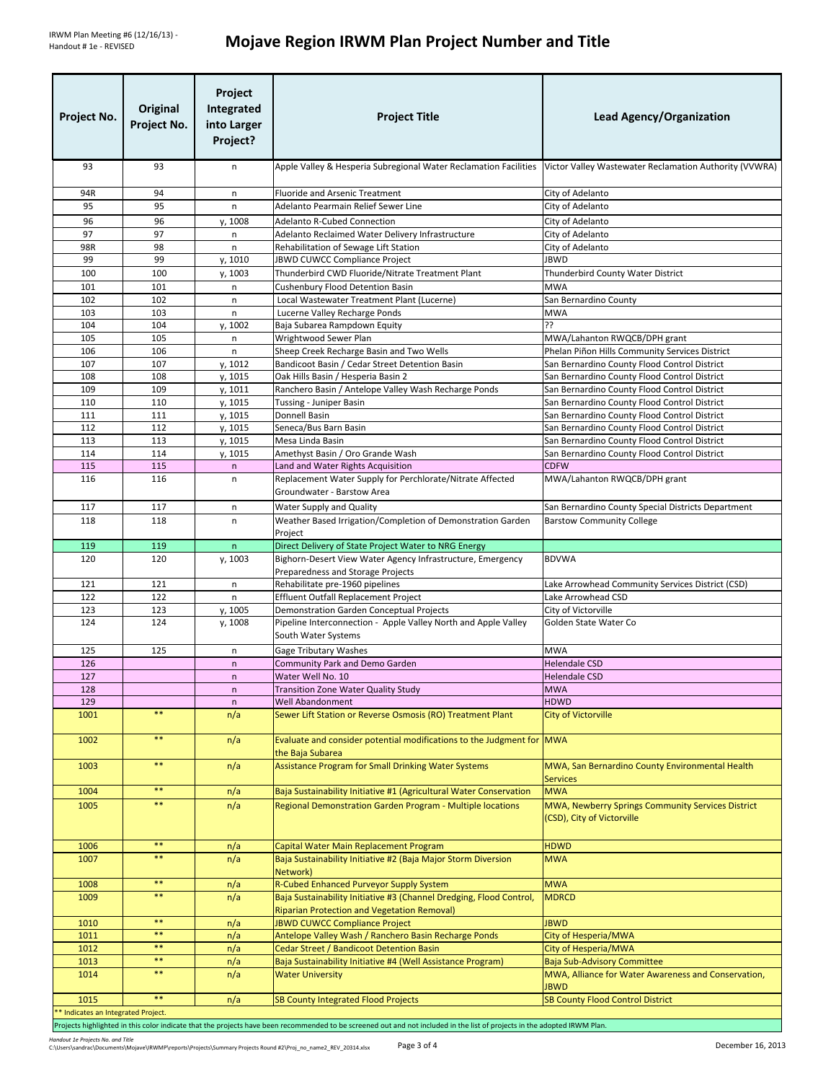| Project No.                        | Original<br>Project No. | Project<br>Integrated<br>into Larger<br>Project? | <b>Project Title</b>                                                                                                      | <b>Lead Agency/Organization</b>                                                              |  |
|------------------------------------|-------------------------|--------------------------------------------------|---------------------------------------------------------------------------------------------------------------------------|----------------------------------------------------------------------------------------------|--|
| 93                                 | 93                      | $\mathsf{n}$                                     | Apple Valley & Hesperia Subregional Water Reclamation Facilities                                                          | Victor Valley Wastewater Reclamation Authority (VVWRA)                                       |  |
| 94R                                | 94                      | n                                                | <b>Fluoride and Arsenic Treatment</b>                                                                                     | City of Adelanto                                                                             |  |
| 95                                 | 95                      | $\mathsf{n}$                                     | Adelanto Pearmain Relief Sewer Line                                                                                       | City of Adelanto                                                                             |  |
| 96                                 | 96                      | y, 1008                                          | <b>Adelanto R-Cubed Connection</b>                                                                                        | City of Adelanto                                                                             |  |
| 97                                 | 97                      | n                                                | Adelanto Reclaimed Water Delivery Infrastructure                                                                          | City of Adelanto                                                                             |  |
| 98R                                | 98                      | $\mathsf{n}$                                     | Rehabilitation of Sewage Lift Station                                                                                     | City of Adelanto                                                                             |  |
| 99                                 | 99                      | y, 1010                                          | JBWD CUWCC Compliance Project                                                                                             | <b>JBWD</b>                                                                                  |  |
| 100                                | 100                     | y, 1003                                          | Thunderbird CWD Fluoride/Nitrate Treatment Plant                                                                          | Thunderbird County Water District                                                            |  |
| 101<br>102                         | 101<br>102              | $\mathsf{n}$<br>$\mathsf{n}$                     | Cushenbury Flood Detention Basin<br>Local Wastewater Treatment Plant (Lucerne)                                            | <b>MWA</b><br>San Bernardino County                                                          |  |
| 103                                | 103                     | $\mathsf{n}$                                     | Lucerne Valley Recharge Ponds                                                                                             | <b>MWA</b>                                                                                   |  |
| 104                                | 104                     | y, 1002                                          | Baja Subarea Rampdown Equity                                                                                              | 55                                                                                           |  |
| 105                                | 105                     | n                                                | Wrightwood Sewer Plan                                                                                                     | MWA/Lahanton RWQCB/DPH grant                                                                 |  |
| 106                                | 106                     | n                                                | Sheep Creek Recharge Basin and Two Wells                                                                                  | Phelan Piñon Hills Community Services District                                               |  |
| 107                                | 107                     | y, 1012                                          | Bandicoot Basin / Cedar Street Detention Basin                                                                            | San Bernardino County Flood Control District                                                 |  |
| 108                                | 108                     | y, 1015                                          | Oak Hills Basin / Hesperia Basin 2                                                                                        | San Bernardino County Flood Control District                                                 |  |
| 109                                | 109                     | y, 1011                                          | Ranchero Basin / Antelope Valley Wash Recharge Ponds                                                                      | San Bernardino County Flood Control District                                                 |  |
| 110                                | 110                     | y, 1015                                          | Tussing - Juniper Basin                                                                                                   | San Bernardino County Flood Control District                                                 |  |
| 111<br>112                         | 111                     | y, 1015                                          | Donnell Basin                                                                                                             | San Bernardino County Flood Control District                                                 |  |
| 113                                | 112<br>113              | y, 1015<br>y, 1015                               | Seneca/Bus Barn Basin<br>Mesa Linda Basin                                                                                 | San Bernardino County Flood Control District<br>San Bernardino County Flood Control District |  |
| 114                                | 114                     | y, 1015                                          | Amethyst Basin / Oro Grande Wash                                                                                          | San Bernardino County Flood Control District                                                 |  |
| 115                                | 115                     | $\mathsf{n}$                                     | Land and Water Rights Acquisition                                                                                         | <b>CDFW</b>                                                                                  |  |
| 116                                | 116                     | n                                                | Replacement Water Supply for Perchlorate/Nitrate Affected<br>Groundwater - Barstow Area                                   | MWA/Lahanton RWQCB/DPH grant                                                                 |  |
| 117                                | 117                     | n                                                | Water Supply and Quality                                                                                                  | San Bernardino County Special Districts Department                                           |  |
| 118                                | 118                     | n                                                | Weather Based Irrigation/Completion of Demonstration Garden                                                               | <b>Barstow Community College</b>                                                             |  |
| 119                                | 119                     |                                                  | Project                                                                                                                   |                                                                                              |  |
| 120                                | 120                     | $\mathsf{n}$<br>y, 1003                          | Direct Delivery of State Project Water to NRG Energy<br>Bighorn-Desert View Water Agency Infrastructure, Emergency        | <b>BDVWA</b>                                                                                 |  |
|                                    |                         |                                                  | Preparedness and Storage Projects                                                                                         |                                                                                              |  |
| 121                                | 121                     | n                                                | Rehabilitate pre-1960 pipelines                                                                                           | Lake Arrowhead Community Services District (CSD)                                             |  |
| 122                                | 122                     | n                                                | <b>Effluent Outfall Replacement Project</b>                                                                               | Lake Arrowhead CSD                                                                           |  |
| 123                                | 123                     | y, 1005                                          | Demonstration Garden Conceptual Projects                                                                                  | City of Victorville                                                                          |  |
| 124                                | 124                     | y, 1008                                          | Pipeline Interconnection - Apple Valley North and Apple Valley<br>South Water Systems                                     | Golden State Water Co                                                                        |  |
| 125                                | 125                     | n                                                | <b>Gage Tributary Washes</b>                                                                                              | <b>MWA</b>                                                                                   |  |
| 126                                |                         | $\mathsf{n}$                                     | Community Park and Demo Garden                                                                                            | <b>Helendale CSD</b>                                                                         |  |
| 127                                |                         | $\mathsf{n}$                                     | Water Well No. 10                                                                                                         | <b>Helendale CSD</b>                                                                         |  |
| 128<br>129                         |                         | n<br>$\sf n$                                     | Transition Zone Water Quality Study<br><b>Well Abandonment</b>                                                            | <b>MWA</b><br><b>HDWD</b>                                                                    |  |
| 1001                               | $***$                   | n/a                                              | Sewer Lift Station or Reverse Osmosis (RO) Treatment Plant                                                                | <b>City of Victorville</b>                                                                   |  |
| 1002                               | $***$                   | n/a                                              | Evaluate and consider potential modifications to the Judgment for MWA                                                     |                                                                                              |  |
| 1003                               | $\ast\ast$              | n/a                                              | the Baja Subarea<br>Assistance Program for Small Drinking Water Systems                                                   | MWA, San Bernardino County Environmental Health                                              |  |
|                                    |                         |                                                  |                                                                                                                           | <b>Services</b>                                                                              |  |
| 1004                               | $***$                   | n/a                                              | Baja Sustainability Initiative #1 (Agricultural Water Conservation                                                        | <b>MWA</b>                                                                                   |  |
| 1005                               | $***$                   | n/a                                              | Regional Demonstration Garden Program - Multiple locations                                                                | MWA, Newberry Springs Community Services District<br>(CSD), City of Victorville              |  |
| 1006                               | $***$                   | n/a                                              | Capital Water Main Replacement Program                                                                                    | <b>HDWD</b>                                                                                  |  |
| 1007                               | $***$                   | n/a                                              | Baja Sustainability Initiative #2 (Baja Major Storm Diversion                                                             | <b>MWA</b>                                                                                   |  |
|                                    |                         |                                                  | Network)                                                                                                                  |                                                                                              |  |
| 1008                               | $***$                   | n/a                                              | R-Cubed Enhanced Purveyor Supply System                                                                                   | <b>MWA</b>                                                                                   |  |
| 1009                               | $***$                   | n/a                                              | Baja Sustainability Initiative #3 (Channel Dredging, Flood Control,<br><b>Riparian Protection and Vegetation Removal)</b> | <b>MDRCD</b>                                                                                 |  |
| 1010                               | $\ast\ast$              | n/a                                              | <b>JBWD CUWCC Compliance Project</b>                                                                                      | <b>JBWD</b>                                                                                  |  |
| 1011                               | $***$                   | n/a                                              | Antelope Valley Wash / Ranchero Basin Recharge Ponds                                                                      | City of Hesperia/MWA                                                                         |  |
| 1012                               | $***$                   | n/a                                              | Cedar Street / Bandicoot Detention Basin                                                                                  | City of Hesperia/MWA                                                                         |  |
| 1013                               | $\ast\ast$              | n/a                                              | Baja Sustainability Initiative #4 (Well Assistance Program)                                                               | <b>Baja Sub-Advisory Committee</b>                                                           |  |
| 1014                               | $* *$                   | n/a                                              | <b>Water University</b>                                                                                                   | MWA, Alliance for Water Awareness and Conservation,<br><b>JBWD</b>                           |  |
| 1015                               | $***$                   | n/a                                              | <b>SB County Integrated Flood Projects</b>                                                                                | <b>SB County Flood Control District</b>                                                      |  |
| * Indicates an Integrated Project. |                         |                                                  |                                                                                                                           |                                                                                              |  |

Projects highlighted in this color indicate that the projects have been recommended to be screened out and not included in the list of projects in the adopted IRWM Plan.